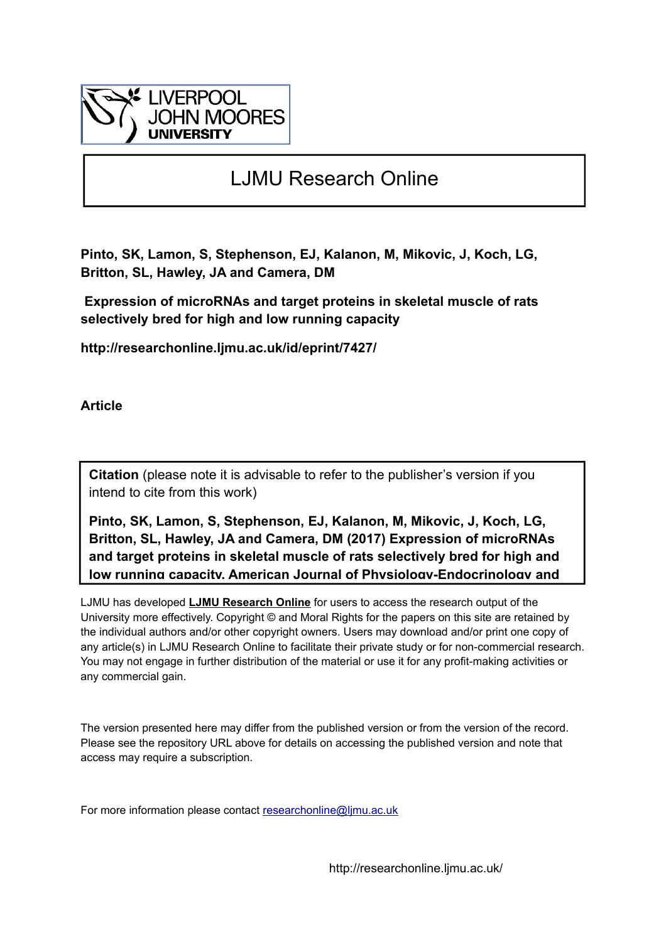

# LJMU Research Online

**Pinto, SK, Lamon, S, Stephenson, EJ, Kalanon, M, Mikovic, J, Koch, LG, Britton, SL, Hawley, JA and Camera, DM**

 **Expression of microRNAs and target proteins in skeletal muscle of rats selectively bred for high and low running capacity**

**http://researchonline.ljmu.ac.uk/id/eprint/7427/**

**Article**

**Citation** (please note it is advisable to refer to the publisher's version if you intend to cite from this work)

**Pinto, SK, Lamon, S, Stephenson, EJ, Kalanon, M, Mikovic, J, Koch, LG, Britton, SL, Hawley, JA and Camera, DM (2017) Expression of microRNAs and target proteins in skeletal muscle of rats selectively bred for high and low running capacity. American Journal of Physiology-Endocrinology and** 

LJMU has developed **[LJMU Research Online](http://researchonline.ljmu.ac.uk/)** for users to access the research output of the University more effectively. Copyright © and Moral Rights for the papers on this site are retained by the individual authors and/or other copyright owners. Users may download and/or print one copy of any article(s) in LJMU Research Online to facilitate their private study or for non-commercial research. You may not engage in further distribution of the material or use it for any profit-making activities or any commercial gain.

The version presented here may differ from the published version or from the version of the record. Please see the repository URL above for details on accessing the published version and note that access may require a subscription.

For more information please contact researchonline@limu.ac.uk

http://researchonline.ljmu.ac.uk/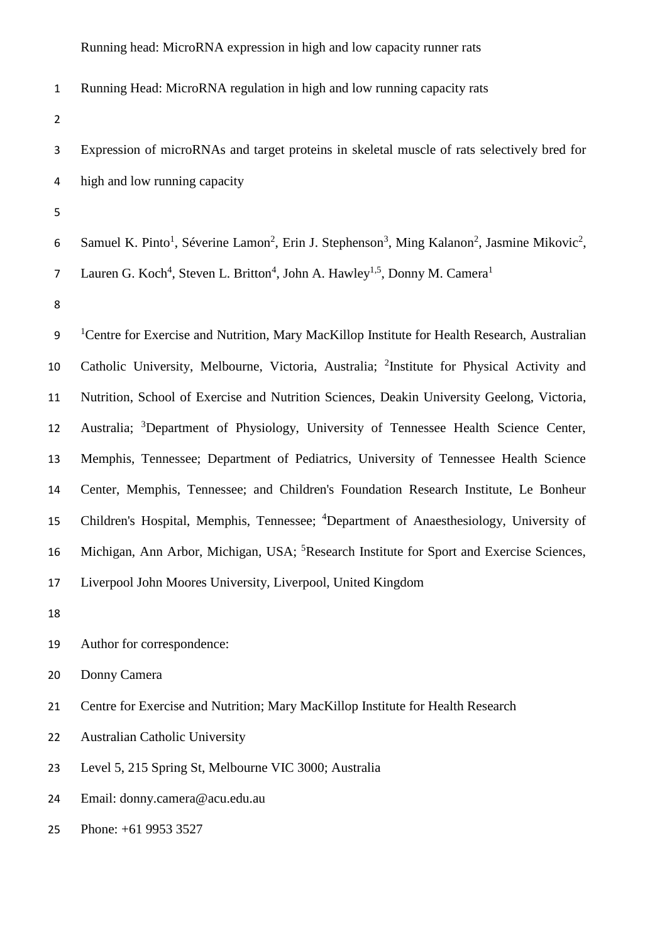Running Head: MicroRNA regulation in high and low running capacity rats

- Expression of microRNAs and target proteins in skeletal muscle of rats selectively bred for high and low running capacity
- 
- 6 Samuel K. Pinto<sup>1</sup>, Séverine Lamon<sup>2</sup>, Erin J. Stephenson<sup>3</sup>, Ming Kalanon<sup>2</sup>, Jasmine Mikovic<sup>2</sup>, Lauren G. Koch<sup>4</sup>, Steven L. Britton<sup>4</sup>, John A. Hawley<sup>1,5</sup>, Donny M. Camera<sup>1</sup>
- 

<sup>1</sup> Centre for Exercise and Nutrition, Mary MacKillop Institute for Health Research, Australian 10 Catholic University, Melbourne, Victoria, Australia; <sup>2</sup>Institute for Physical Activity and Nutrition, School of Exercise and Nutrition Sciences, Deakin University Geelong, Victoria, 12 Australia; <sup>3</sup>Department of Physiology, University of Tennessee Health Science Center, Memphis, Tennessee; Department of Pediatrics, University of Tennessee Health Science Center, Memphis, Tennessee; and Children's Foundation Research Institute, Le Bonheur 15 Children's Hospital, Memphis, Tennessee; <sup>4</sup>Department of Anaesthesiology, University of 16 Michigan, Ann Arbor, Michigan, USA; <sup>5</sup>Research Institute for Sport and Exercise Sciences, Liverpool John Moores University, Liverpool, United Kingdom 

- Author for correspondence:
- Donny Camera
- Centre for Exercise and Nutrition; Mary MacKillop Institute for Health Research
- Australian Catholic University
- Level 5, 215 Spring St, Melbourne VIC 3000; Australia
- Email: donny.camera@acu.edu.au
- Phone: +61 9953 3527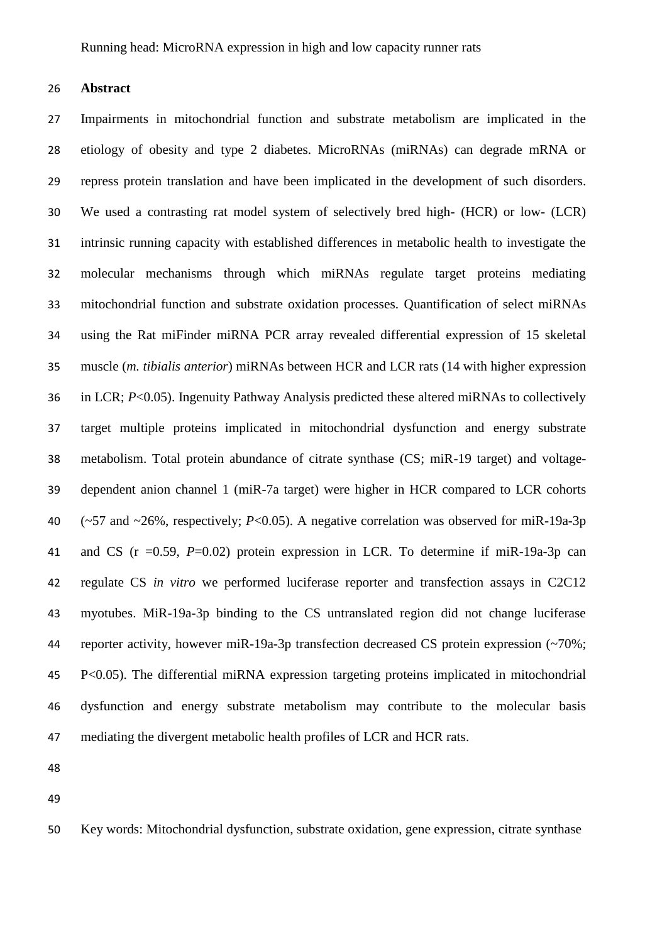**Abstract**

 Impairments in mitochondrial function and substrate metabolism are implicated in the etiology of obesity and type 2 diabetes. MicroRNAs (miRNAs) can degrade mRNA or repress protein translation and have been implicated in the development of such disorders. We used a contrasting rat model system of selectively bred high- (HCR) or low- (LCR) intrinsic running capacity with established differences in metabolic health to investigate the molecular mechanisms through which miRNAs regulate target proteins mediating mitochondrial function and substrate oxidation processes. Quantification of select miRNAs using the Rat miFinder miRNA PCR array revealed differential expression of 15 skeletal muscle (*m. tibialis anterior*) miRNAs between HCR and LCR rats (14 with higher expression in LCR; *P*<0.05). Ingenuity Pathway Analysis predicted these altered miRNAs to collectively target multiple proteins implicated in mitochondrial dysfunction and energy substrate metabolism. Total protein abundance of citrate synthase (CS; miR-19 target) and voltage- dependent anion channel 1 (miR-7a target) were higher in HCR compared to LCR cohorts (~57 and ~26%, respectively; *P*<0.05). A negative correlation was observed for miR-19a-3p and CS (r =0.59, *P*=0.02) protein expression in LCR. To determine if miR-19a-3p can regulate CS *in vitro* we performed luciferase reporter and transfection assays in C2C12 myotubes. MiR-19a-3p binding to the CS untranslated region did not change luciferase reporter activity, however miR-19a-3p transfection decreased CS protein expression (~70%; P<0.05). The differential miRNA expression targeting proteins implicated in mitochondrial dysfunction and energy substrate metabolism may contribute to the molecular basis mediating the divergent metabolic health profiles of LCR and HCR rats.

Key words: Mitochondrial dysfunction, substrate oxidation, gene expression, citrate synthase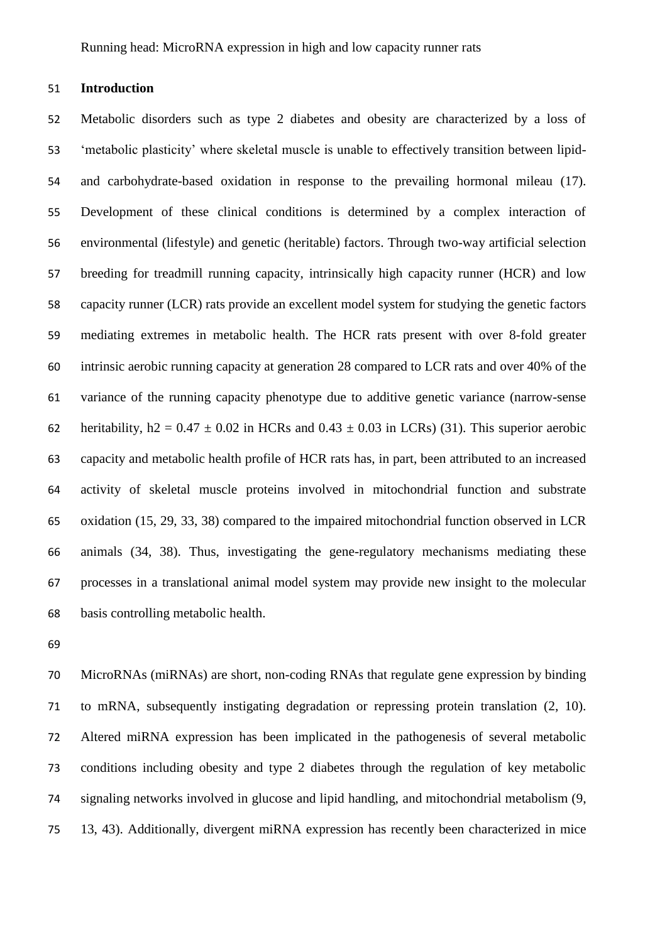# **Introduction**

 Metabolic disorders such as type 2 diabetes and obesity are characterized by a loss of 'metabolic plasticity' where skeletal muscle is unable to effectively transition between lipid- and carbohydrate-based oxidation in response to the prevailing hormonal mileau (17). Development of these clinical conditions is determined by a complex interaction of environmental (lifestyle) and genetic (heritable) factors. Through two-way artificial selection breeding for treadmill running capacity, intrinsically high capacity runner (HCR) and low capacity runner (LCR) rats provide an excellent model system for studying the genetic factors mediating extremes in metabolic health. The HCR rats present with over 8-fold greater intrinsic aerobic running capacity at generation 28 compared to LCR rats and over 40% of the variance of the running capacity phenotype due to additive genetic variance (narrow-sense 62 heritability,  $h2 = 0.47 \pm 0.02$  in HCRs and  $0.43 \pm 0.03$  in LCRs) (31). This superior aerobic capacity and metabolic health profile of HCR rats has, in part, been attributed to an increased activity of skeletal muscle proteins involved in mitochondrial function and substrate oxidation (15, 29, 33, 38) compared to the impaired mitochondrial function observed in LCR animals (34, 38). Thus, investigating the gene-regulatory mechanisms mediating these processes in a translational animal model system may provide new insight to the molecular basis controlling metabolic health.

 MicroRNAs (miRNAs) are short, non-coding RNAs that regulate gene expression by binding to mRNA, subsequently instigating degradation or repressing protein translation (2, 10). Altered miRNA expression has been implicated in the pathogenesis of several metabolic conditions including obesity and type 2 diabetes through the regulation of key metabolic signaling networks involved in glucose and lipid handling, and mitochondrial metabolism (9, 13, 43). Additionally, divergent miRNA expression has recently been characterized in mice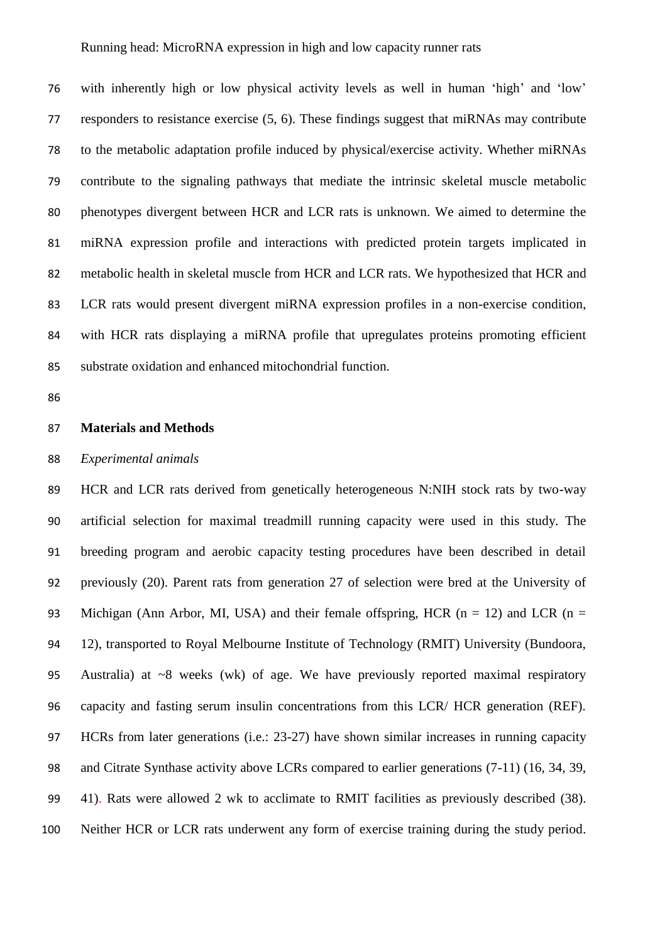with inherently high or low physical activity levels as well in human 'high' and 'low' responders to resistance exercise (5, 6). These findings suggest that miRNAs may contribute to the metabolic adaptation profile induced by physical/exercise activity. Whether miRNAs contribute to the signaling pathways that mediate the intrinsic skeletal muscle metabolic phenotypes divergent between HCR and LCR rats is unknown. We aimed to determine the miRNA expression profile and interactions with predicted protein targets implicated in metabolic health in skeletal muscle from HCR and LCR rats. We hypothesized that HCR and LCR rats would present divergent miRNA expression profiles in a non-exercise condition, with HCR rats displaying a miRNA profile that upregulates proteins promoting efficient substrate oxidation and enhanced mitochondrial function.

#### **Materials and Methods**

## *Experimental animals*

 HCR and LCR rats derived from genetically heterogeneous N:NIH stock rats by two-way artificial selection for maximal treadmill running capacity were used in this study. The breeding program and aerobic capacity testing procedures have been described in detail previously (20). Parent rats from generation 27 of selection were bred at the University of 93 Michigan (Ann Arbor, MI, USA) and their female offspring, HCR ( $n = 12$ ) and LCR ( $n = 12$ ) 12), transported to Royal Melbourne Institute of Technology (RMIT) University (Bundoora, Australia) at ~8 weeks (wk) of age. We have previously reported maximal respiratory capacity and fasting serum insulin concentrations from this LCR/ HCR generation (REF). HCRs from later generations (i.e.: 23-27) have shown similar increases in running capacity and Citrate Synthase activity above LCRs compared to earlier generations (7-11) (16, 34, 39, 41). Rats were allowed 2 wk to acclimate to RMIT facilities as previously described (38). Neither HCR or LCR rats underwent any form of exercise training during the study period.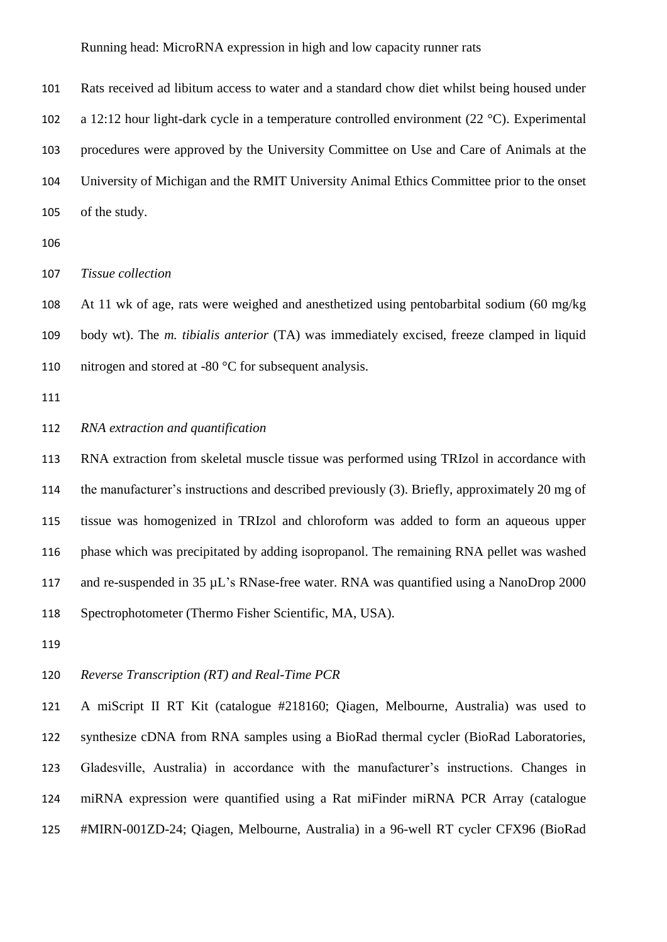Rats received ad libitum access to water and a standard chow diet whilst being housed under a 12:12 hour light-dark cycle in a temperature controlled environment (22 °C). Experimental procedures were approved by the University Committee on Use and Care of Animals at the University of Michigan and the RMIT University Animal Ethics Committee prior to the onset of the study.

*Tissue collection*

 At 11 wk of age, rats were weighed and anesthetized using pentobarbital sodium (60 mg/kg body wt). The *m. tibialis anterior* (TA) was immediately excised, freeze clamped in liquid nitrogen and stored at -80 °C for subsequent analysis.

## *RNA extraction and quantification*

 RNA extraction from skeletal muscle tissue was performed using TRIzol in accordance with the manufacturer's instructions and described previously (3). Briefly, approximately 20 mg of tissue was homogenized in TRIzol and chloroform was added to form an aqueous upper phase which was precipitated by adding isopropanol. The remaining RNA pellet was washed 117 and re-suspended in 35  $\mu$ L's RNase-free water. RNA was quantified using a NanoDrop 2000 Spectrophotometer (Thermo Fisher Scientific, MA, USA).

## *Reverse Transcription (RT) and Real-Time PCR*

 A miScript II RT Kit (catalogue #218160; Qiagen, Melbourne, Australia) was used to synthesize cDNA from RNA samples using a BioRad thermal cycler (BioRad Laboratories, Gladesville, Australia) in accordance with the manufacturer's instructions. Changes in miRNA expression were quantified using a Rat miFinder miRNA PCR Array (catalogue #MIRN-001ZD-24; Qiagen, Melbourne, Australia) in a 96-well RT cycler CFX96 (BioRad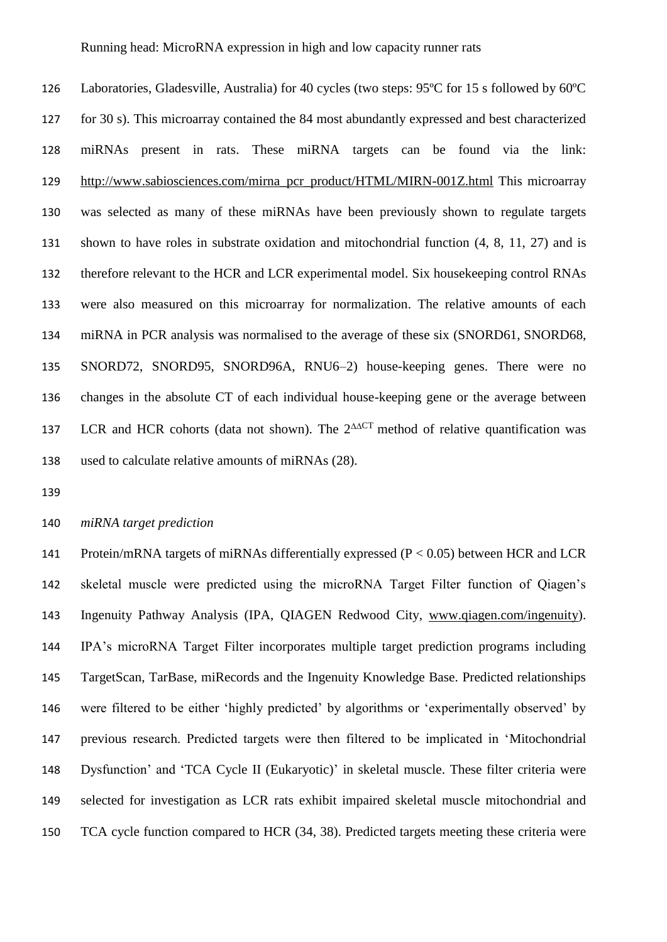Laboratories, Gladesville, Australia) for 40 cycles (two steps: 95ºC for 15 s followed by 60ºC for 30 s). This microarray contained the 84 most abundantly expressed and best characterized miRNAs present in rats. These miRNA targets can be found via the link: [http://www.sabiosciences.com/mirna\\_pcr\\_product/HTML/MIRN-001Z.html](http://www.sabiosciences.com/mirna_pcr_product/HTML/MIRN-001Z.html) This microarray was selected as many of these miRNAs have been previously shown to regulate targets shown to have roles in substrate oxidation and mitochondrial function (4, 8, 11, 27) and is therefore relevant to the HCR and LCR experimental model. Six housekeeping control RNAs were also measured on this microarray for normalization. The relative amounts of each miRNA in PCR analysis was normalised to the average of these six (SNORD61, SNORD68, SNORD72, SNORD95, SNORD96A, RNU6–2) house-keeping genes. There were no changes in the absolute CT of each individual house-keeping gene or the average between 137 LCR and HCR cohorts (data not shown). The  $2^{\triangle\triangle C}$  method of relative quantification was used to calculate relative amounts of miRNAs (28).

# *miRNA target prediction*

 Protein/mRNA targets of miRNAs differentially expressed (P < 0.05) between HCR and LCR skeletal muscle were predicted using the microRNA Target Filter function of Qiagen's Ingenuity Pathway Analysis (IPA, QIAGEN Redwood City, [www.qiagen.com/ingenuity\)](http://www.qiagen.com/ingenuity). IPA's microRNA Target Filter incorporates multiple target prediction programs including TargetScan, TarBase, miRecords and the Ingenuity Knowledge Base. Predicted relationships were filtered to be either 'highly predicted' by algorithms or 'experimentally observed' by previous research. Predicted targets were then filtered to be implicated in 'Mitochondrial Dysfunction' and 'TCA Cycle II (Eukaryotic)' in skeletal muscle. These filter criteria were selected for investigation as LCR rats exhibit impaired skeletal muscle mitochondrial and TCA cycle function compared to HCR (34, 38). Predicted targets meeting these criteria were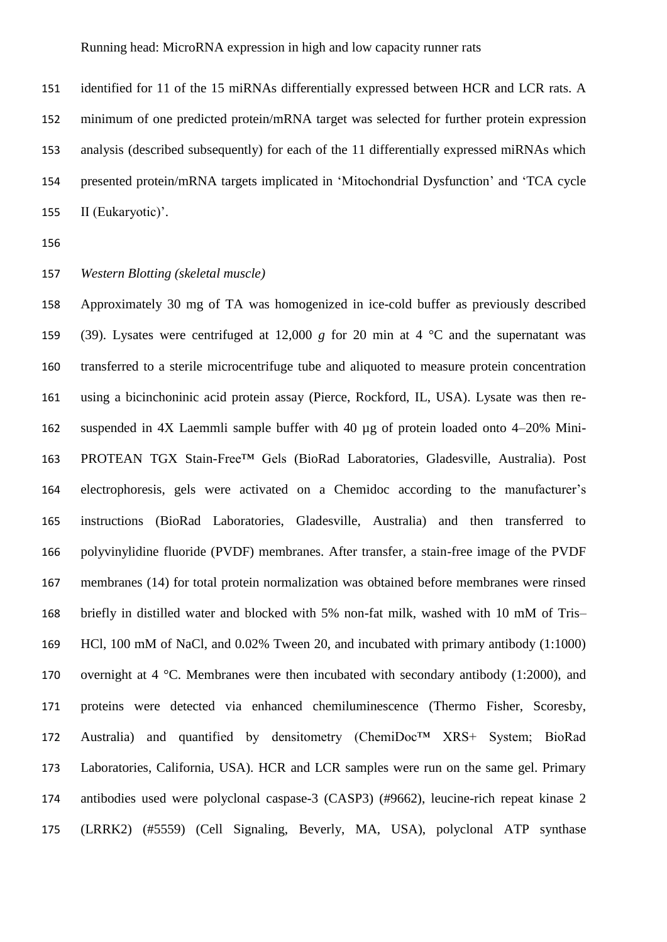identified for 11 of the 15 miRNAs differentially expressed between HCR and LCR rats. A minimum of one predicted protein/mRNA target was selected for further protein expression analysis (described subsequently) for each of the 11 differentially expressed miRNAs which presented protein/mRNA targets implicated in 'Mitochondrial Dysfunction' and 'TCA cycle II (Eukaryotic)'.

# *Western Blotting (skeletal muscle)*

 Approximately 30 mg of TA was homogenized in ice-cold buffer as previously described 159 (39). Lysates were centrifuged at 12,000 *g* for 20 min at 4  $\degree$ C and the supernatant was transferred to a sterile microcentrifuge tube and aliquoted to measure protein concentration using a bicinchoninic acid protein assay (Pierce, Rockford, IL, USA). Lysate was then re- suspended in 4X Laemmli sample buffer with 40 µg of protein loaded onto 4–20% Mini- PROTEAN TGX Stain-Free™ Gels (BioRad Laboratories, Gladesville, Australia). Post electrophoresis, gels were activated on a Chemidoc according to the manufacturer's instructions (BioRad Laboratories, Gladesville, Australia) and then transferred to polyvinylidine fluoride (PVDF) membranes. After transfer, a stain-free image of the PVDF membranes (14) for total protein normalization was obtained before membranes were rinsed briefly in distilled water and blocked with 5% non-fat milk, washed with 10 mM of Tris– HCl, 100 mM of NaCl, and 0.02% Tween 20, and incubated with primary antibody (1:1000) 170 overnight at  $4 \text{ }^{\circ}$ C. Membranes were then incubated with secondary antibody (1:2000), and proteins were detected via enhanced chemiluminescence (Thermo Fisher, Scoresby, Australia) and quantified by densitometry (ChemiDoc™ XRS+ System; BioRad Laboratories, California, USA). HCR and LCR samples were run on the same gel. Primary antibodies used were polyclonal caspase-3 (CASP3) (#9662), leucine-rich repeat kinase 2 (LRRK2) (#5559) (Cell Signaling, Beverly, MA, USA), polyclonal ATP synthase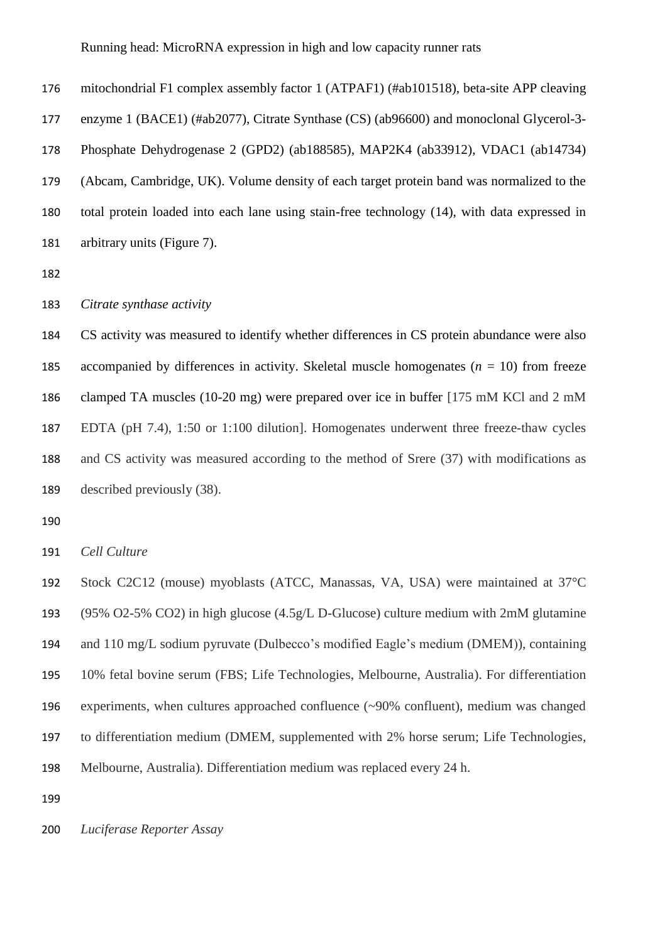mitochondrial F1 complex assembly factor 1 (ATPAF1) (#ab101518), beta-site APP cleaving enzyme 1 (BACE1) (#ab2077), Citrate Synthase (CS) (ab96600) and monoclonal Glycerol-3- Phosphate Dehydrogenase 2 (GPD2) (ab188585), MAP2K4 (ab33912), VDAC1 (ab14734) (Abcam, Cambridge, UK). Volume density of each target protein band was normalized to the total protein loaded into each lane using stain-free technology (14), with data expressed in arbitrary units (Figure 7).

#### *Citrate synthase activity*

 CS activity was measured to identify whether differences in CS protein abundance were also 185 accompanied by differences in activity. Skeletal muscle homogenates  $(n = 10)$  from freeze clamped TA muscles (10-20 mg) were prepared over ice in buffer [175 mM KCl and 2 mM EDTA (pH 7.4), 1:50 or 1:100 dilution]. Homogenates underwent three freeze-thaw cycles and CS activity was measured according to the method of Srere (37) with modifications as described previously (38).

*Cell Culture*

 Stock C2C12 (mouse) myoblasts (ATCC, Manassas, VA, USA) were maintained at 37°C (95% O2-5% CO2) in high glucose (4.5g/L D-Glucose) culture medium with 2mM glutamine and 110 mg/L sodium pyruvate (Dulbecco's modified Eagle's medium (DMEM)), containing 10% fetal bovine serum (FBS; Life Technologies, Melbourne, Australia). For differentiation experiments, when cultures approached confluence (~90% confluent), medium was changed to differentiation medium (DMEM, supplemented with 2% horse serum; Life Technologies, Melbourne, Australia). Differentiation medium was replaced every 24 h.

*Luciferase Reporter Assay*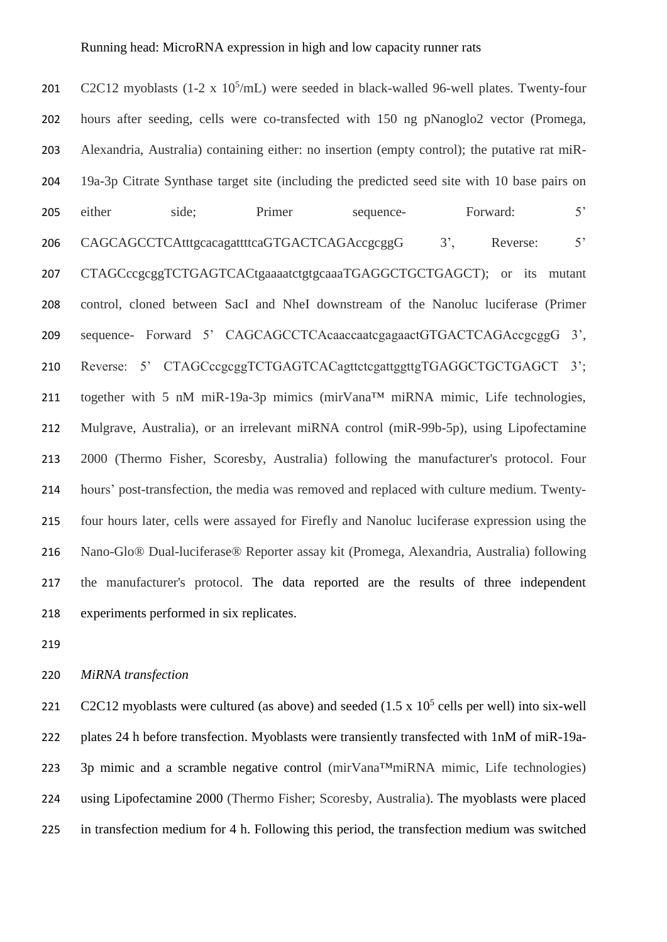201 C2C12 myoblasts  $(1-2 \times 10^5/mL)$  were seeded in black-walled 96-well plates. Twenty-four hours after seeding, cells were co-transfected with 150 ng pNanoglo2 vector (Promega, Alexandria, Australia) containing either: no insertion (empty control); the putative rat miR- 19a-3p Citrate Synthase target site (including the predicted seed site with 10 base pairs on 205 either side; Primer sequence- Forward: 5' 206 CAGCAGCCTCAtttgcacagattttcaGTGACTCAGAccgcggG 3', Reverse: 5' CTAGCccgcggTCTGAGTCACtgaaaatctgtgcaaaTGAGGCTGCTGAGCT); or its mutant control, cloned between SacI and NheI downstream of the Nanoluc luciferase (Primer sequence- Forward 5' CAGCAGCCTCAcaaccaatcgagaactGTGACTCAGAccgcggG 3', 210 Reverse: 5' CTAGCccgcggTCTGAGTCACagttctcgattggttgTGAGGCTGCTGAGCT 3'; together with 5 nM miR-19a-3p mimics (mirVana™ miRNA mimic, Life technologies, Mulgrave, Australia), or an irrelevant miRNA control (miR-99b-5p), using Lipofectamine 2000 (Thermo Fisher, Scoresby, Australia) following the manufacturer's protocol. Four hours' post-transfection, the media was removed and replaced with culture medium. Twenty- four hours later, cells were assayed for Firefly and Nanoluc luciferase expression using the Nano-Glo® Dual-luciferase® Reporter assay kit (Promega, Alexandria, Australia) following the manufacturer's protocol. The data reported are the results of three independent experiments performed in six replicates.

#### *MiRNA transfection*

221 C2C12 myoblasts were cultured (as above) and seeded  $(1.5 \times 10^5 \text{ cells per well})$  into six-well plates 24 h before transfection. Myoblasts were transiently transfected with 1nM of miR-19a- 3p mimic and a scramble negative control (mirVana™miRNA mimic, Life technologies) using Lipofectamine 2000 (Thermo Fisher; Scoresby, Australia). The myoblasts were placed in transfection medium for 4 h. Following this period, the transfection medium was switched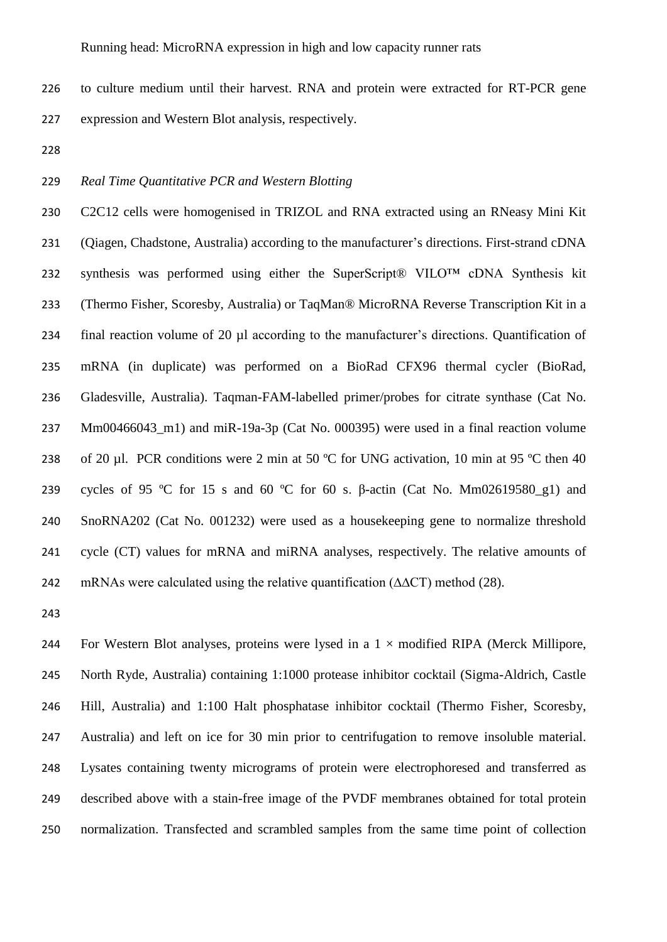to culture medium until their harvest. RNA and protein were extracted for RT-PCR gene expression and Western Blot analysis, respectively.

# *Real Time Quantitative PCR and Western Blotting*

 C2C12 cells were homogenised in TRIZOL and RNA extracted using an RNeasy Mini Kit (Qiagen, Chadstone, Australia) according to the manufacturer's directions. First-strand cDNA synthesis was performed using either the SuperScript® VILO™ cDNA Synthesis kit (Thermo Fisher, Scoresby, Australia) or TaqMan® MicroRNA Reverse Transcription Kit in a final reaction volume of 20 µl according to the manufacturer's directions. Quantification of mRNA (in duplicate) was performed on a BioRad CFX96 thermal cycler (BioRad, Gladesville, Australia). Taqman-FAM-labelled primer/probes for citrate synthase (Cat No. 237 Mm00466043 m1) and miR-19a-3p (Cat No. 000395) were used in a final reaction volume 238 of 20 µl. PCR conditions were 2 min at 50 °C for UNG activation, 10 min at 95 °C then 40 239 cycles of 95 °C for 15 s and 60 °C for 60 s.  $\beta$ -actin (Cat No. Mm02619580\_g1) and SnoRNA202 (Cat No. 001232) were used as a housekeeping gene to normalize threshold cycle (CT) values for mRNA and miRNA analyses, respectively. The relative amounts of mRNAs were calculated using the relative quantification (∆∆CT) method (28).

244 For Western Blot analyses, proteins were lysed in a  $1 \times$  modified RIPA (Merck Millipore, North Ryde, Australia) containing 1:1000 protease inhibitor cocktail (Sigma-Aldrich, Castle Hill, Australia) and 1:100 Halt phosphatase inhibitor cocktail (Thermo Fisher, Scoresby, Australia) and left on ice for 30 min prior to centrifugation to remove insoluble material. Lysates containing twenty micrograms of protein were electrophoresed and transferred as described above with a stain-free image of the PVDF membranes obtained for total protein normalization. Transfected and scrambled samples from the same time point of collection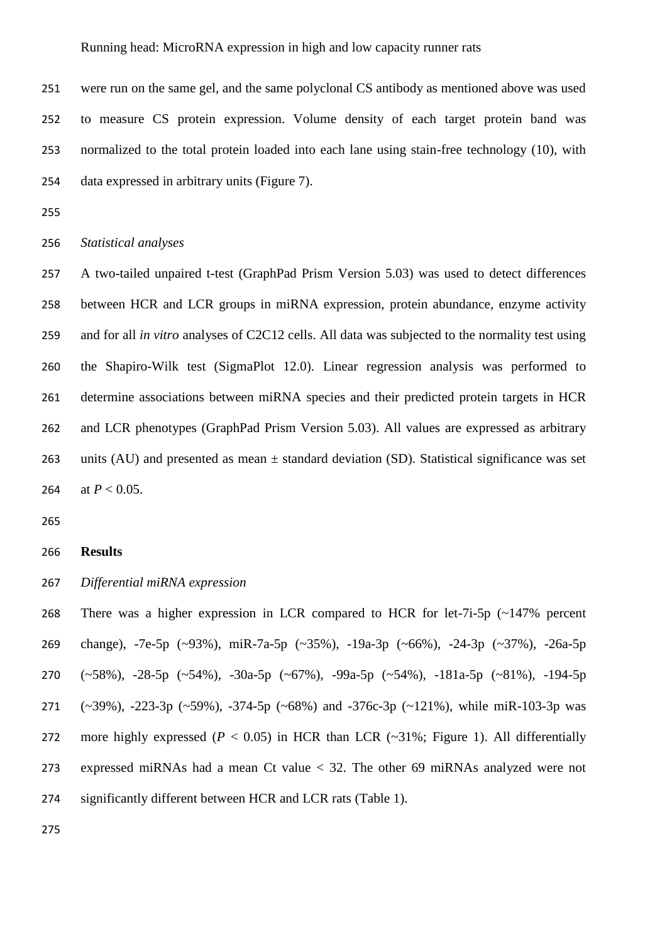were run on the same gel, and the same polyclonal CS antibody as mentioned above was used to measure CS protein expression. Volume density of each target protein band was normalized to the total protein loaded into each lane using stain-free technology (10), with data expressed in arbitrary units (Figure 7).

```
256 Statistical analyses
```
 A two-tailed unpaired t-test (GraphPad Prism Version 5.03) was used to detect differences between HCR and LCR groups in miRNA expression, protein abundance, enzyme activity and for all *in vitro* analyses of C2C12 cells. All data was subjected to the normality test using the Shapiro-Wilk test (SigmaPlot 12.0). Linear regression analysis was performed to determine associations between miRNA species and their predicted protein targets in HCR and LCR phenotypes (GraphPad Prism Version 5.03). All values are expressed as arbitrary 263 units (AU) and presented as mean  $\pm$  standard deviation (SD). Statistical significance was set 264 at  $P < 0.05$ .

## **Results**

# *Differential miRNA expression*

 There was a higher expression in LCR compared to HCR for let-7i-5p (~147% percent change), -7e-5p (~93%), miR-7a-5p (~35%), -19a-3p (~66%), -24-3p (~37%), -26a-5p (~58%), -28-5p (~54%), -30a-5p (~67%), -99a-5p (~54%), -181a-5p (~81%), -194-5p (~39%), -223-3p (~59%), -374-5p (~68%) and -376c-3p (~121%), while miR-103-3p was 272 more highly expressed  $(P < 0.05)$  in HCR than LCR  $(\sim 31\%)$ ; Figure 1). All differentially expressed miRNAs had a mean Ct value < 32. The other 69 miRNAs analyzed were not significantly different between HCR and LCR rats (Table 1).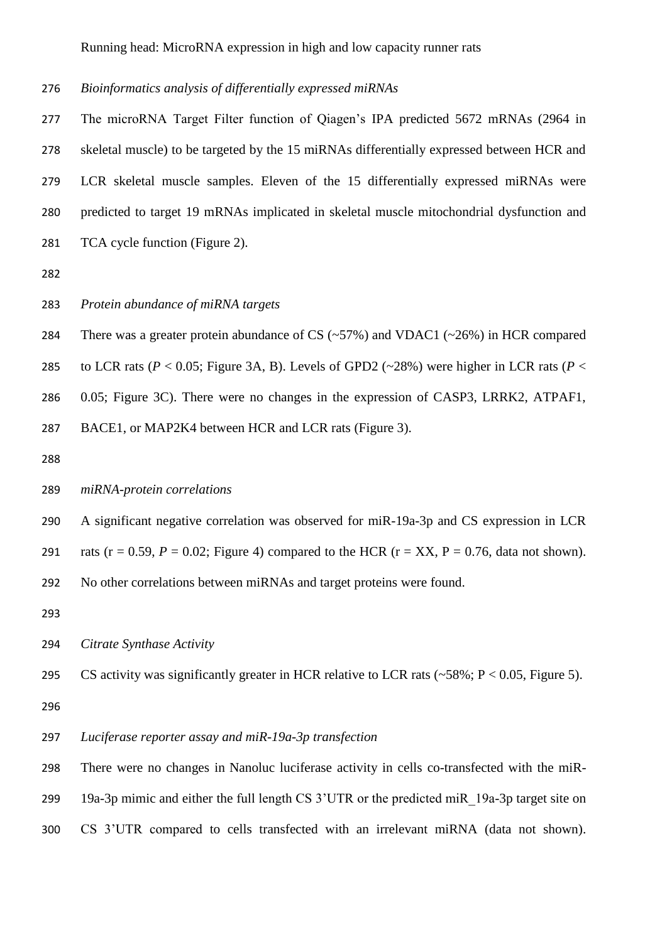*Bioinformatics analysis of differentially expressed miRNAs*

 The microRNA Target Filter function of Qiagen's IPA predicted 5672 mRNAs (2964 in skeletal muscle) to be targeted by the 15 miRNAs differentially expressed between HCR and LCR skeletal muscle samples. Eleven of the 15 differentially expressed miRNAs were predicted to target 19 mRNAs implicated in skeletal muscle mitochondrial dysfunction and TCA cycle function (Figure 2).

- 
- *Protein abundance of miRNA targets*
- 284 There was a greater protein abundance of CS  $(\sim 57\%)$  and VDAC1  $(\sim 26\%)$  in HCR compared
- 285 to LCR rats ( $P < 0.05$ ; Figure 3A, B). Levels of GPD2 (~28%) were higher in LCR rats ( $P <$
- 0.05; Figure 3C). There were no changes in the expression of CASP3, LRRK2, ATPAF1,

BACE1, or MAP2K4 between HCR and LCR rats (Figure 3).

#### *miRNA-protein correlations*

A significant negative correlation was observed for miR-19a-3p and CS expression in LCR

291 rats ( $r = 0.59$ ,  $P = 0.02$ ; Figure 4) compared to the HCR ( $r = XX$ ,  $P = 0.76$ , data not shown).

No other correlations between miRNAs and target proteins were found.

*Citrate Synthase Activity*

- 295 CS activity was significantly greater in HCR relative to LCR rats  $(-58\%; P < 0.05,$  Figure 5).
- 

*Luciferase reporter assay and miR-19a-3p transfection*

There were no changes in Nanoluc luciferase activity in cells co-transfected with the miR-

19a-3p mimic and either the full length CS 3'UTR or the predicted miR\_19a-3p target site on

CS 3'UTR compared to cells transfected with an irrelevant miRNA (data not shown).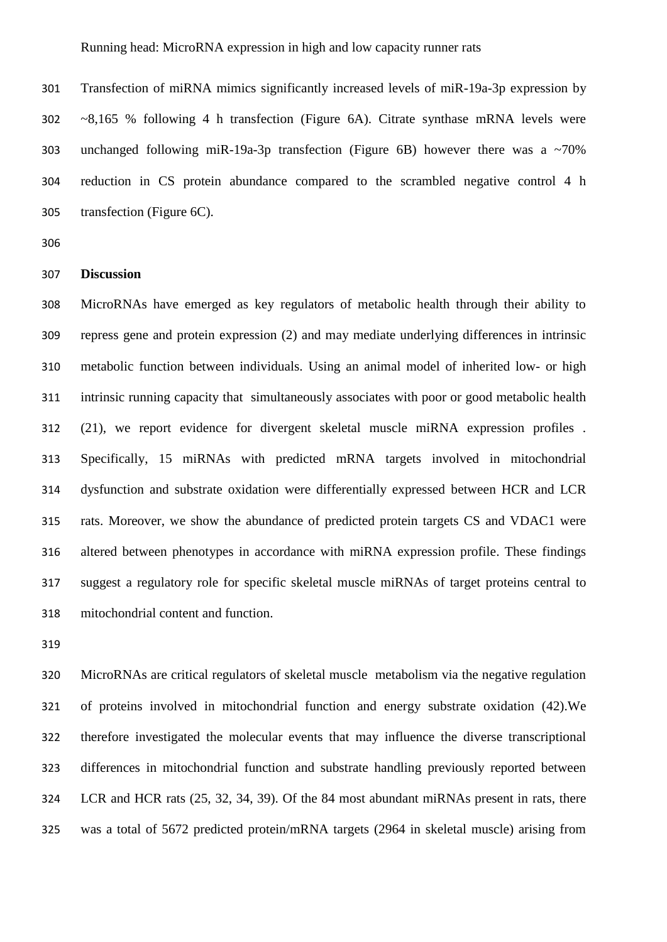Transfection of miRNA mimics significantly increased levels of miR-19a-3p expression by ~8,165 % following 4 h transfection (Figure 6A). Citrate synthase mRNA levels were unchanged following miR-19a-3p transfection (Figure 6B) however there was a ~70% reduction in CS protein abundance compared to the scrambled negative control 4 h transfection (Figure 6C).

## **Discussion**

 MicroRNAs have emerged as key regulators of metabolic health through their ability to repress gene and protein expression (2) and may mediate underlying differences in intrinsic metabolic function between individuals. Using an animal model of inherited low- or high intrinsic running capacity that simultaneously associates with poor or good metabolic health (21), we report evidence for divergent skeletal muscle miRNA expression profiles . Specifically, 15 miRNAs with predicted mRNA targets involved in mitochondrial dysfunction and substrate oxidation were differentially expressed between HCR and LCR rats. Moreover, we show the abundance of predicted protein targets CS and VDAC1 were altered between phenotypes in accordance with miRNA expression profile. These findings suggest a regulatory role for specific skeletal muscle miRNAs of target proteins central to mitochondrial content and function.

 MicroRNAs are critical regulators of skeletal muscle metabolism via the negative regulation of proteins involved in mitochondrial function and energy substrate oxidation (42).We therefore investigated the molecular events that may influence the diverse transcriptional differences in mitochondrial function and substrate handling previously reported between LCR and HCR rats (25, 32, 34, 39). Of the 84 most abundant miRNAs present in rats, there was a total of 5672 predicted protein/mRNA targets (2964 in skeletal muscle) arising from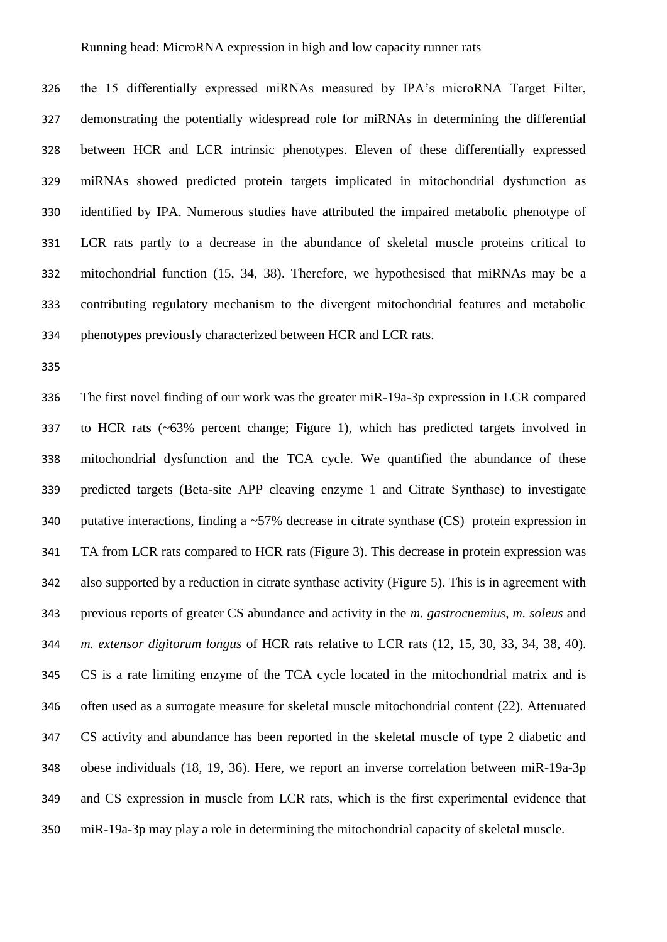the 15 differentially expressed miRNAs measured by IPA's microRNA Target Filter, demonstrating the potentially widespread role for miRNAs in determining the differential between HCR and LCR intrinsic phenotypes. Eleven of these differentially expressed miRNAs showed predicted protein targets implicated in mitochondrial dysfunction as identified by IPA. Numerous studies have attributed the impaired metabolic phenotype of LCR rats partly to a decrease in the abundance of skeletal muscle proteins critical to mitochondrial function (15, 34, 38). Therefore, we hypothesised that miRNAs may be a contributing regulatory mechanism to the divergent mitochondrial features and metabolic phenotypes previously characterized between HCR and LCR rats.

 The first novel finding of our work was the greater miR-19a-3p expression in LCR compared to HCR rats (~63% percent change; Figure 1), which has predicted targets involved in mitochondrial dysfunction and the TCA cycle. We quantified the abundance of these predicted targets (Beta-site APP cleaving enzyme 1 and Citrate Synthase) to investigate 340 putative interactions, finding a  $\sim$  57% decrease in citrate synthase (CS) protein expression in TA from LCR rats compared to HCR rats (Figure 3). This decrease in protein expression was also supported by a reduction in citrate synthase activity (Figure 5). This is in agreement with previous reports of greater CS abundance and activity in the *m. gastrocnemius*, *m. soleus* and *m. extensor digitorum longus* of HCR rats relative to LCR rats (12, 15, 30, 33, 34, 38, 40). CS is a rate limiting enzyme of the TCA cycle located in the mitochondrial matrix and is often used as a surrogate measure for skeletal muscle mitochondrial content (22). Attenuated CS activity and abundance has been reported in the skeletal muscle of type 2 diabetic and obese individuals (18, 19, 36). Here, we report an inverse correlation between miR-19a-3p and CS expression in muscle from LCR rats, which is the first experimental evidence that miR-19a-3p may play a role in determining the mitochondrial capacity of skeletal muscle.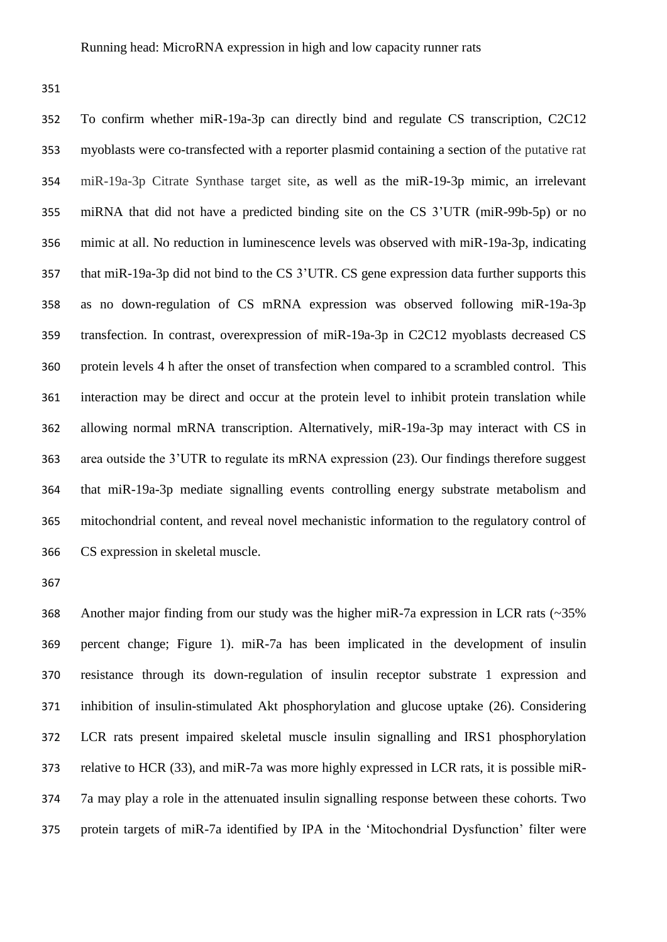To confirm whether miR-19a-3p can directly bind and regulate CS transcription, C2C12 myoblasts were co-transfected with a reporter plasmid containing a section of the putative rat miR-19a-3p Citrate Synthase target site, as well as the miR-19-3p mimic, an irrelevant miRNA that did not have a predicted binding site on the CS 3'UTR (miR-99b-5p) or no mimic at all. No reduction in luminescence levels was observed with miR-19a-3p, indicating that miR-19a-3p did not bind to the CS 3'UTR. CS gene expression data further supports this as no down-regulation of CS mRNA expression was observed following miR-19a-3p transfection. In contrast, overexpression of miR-19a-3p in C2C12 myoblasts decreased CS protein levels 4 h after the onset of transfection when compared to a scrambled control. This interaction may be direct and occur at the protein level to inhibit protein translation while allowing normal mRNA transcription. Alternatively, miR-19a-3p may interact with CS in area outside the 3'UTR to regulate its mRNA expression (23). Our findings therefore suggest that miR-19a-3p mediate signalling events controlling energy substrate metabolism and mitochondrial content, and reveal novel mechanistic information to the regulatory control of CS expression in skeletal muscle.

 Another major finding from our study was the higher miR-7a expression in LCR rats (~35% percent change; Figure 1). miR-7a has been implicated in the development of insulin resistance through its down-regulation of insulin receptor substrate 1 expression and inhibition of insulin-stimulated Akt phosphorylation and glucose uptake (26). Considering LCR rats present impaired skeletal muscle insulin signalling and IRS1 phosphorylation relative to HCR (33), and miR-7a was more highly expressed in LCR rats, it is possible miR- 7a may play a role in the attenuated insulin signalling response between these cohorts. Two protein targets of miR-7a identified by IPA in the 'Mitochondrial Dysfunction' filter were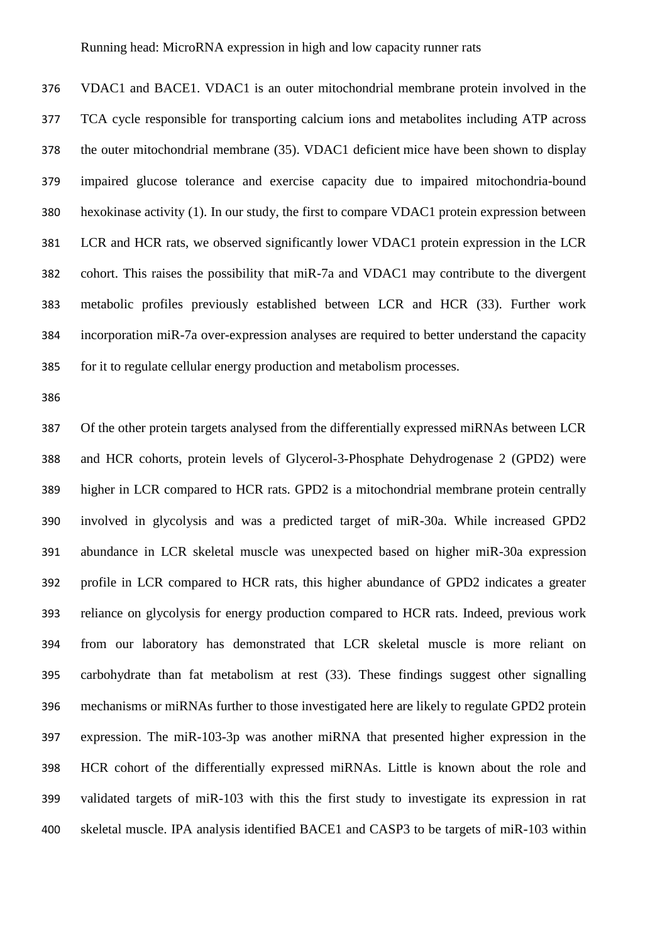VDAC1 and BACE1. VDAC1 is an outer mitochondrial membrane protein involved in the TCA cycle responsible for transporting calcium ions and metabolites including ATP across the outer mitochondrial membrane (35). VDAC1 deficient mice have been shown to display impaired glucose tolerance and exercise capacity due to impaired mitochondria-bound hexokinase activity (1). In our study, the first to compare VDAC1 protein expression between LCR and HCR rats, we observed significantly lower VDAC1 protein expression in the LCR cohort. This raises the possibility that miR-7a and VDAC1 may contribute to the divergent metabolic profiles previously established between LCR and HCR (33). Further work incorporation miR-7a over-expression analyses are required to better understand the capacity for it to regulate cellular energy production and metabolism processes.

 Of the other protein targets analysed from the differentially expressed miRNAs between LCR and HCR cohorts, protein levels of Glycerol-3-Phosphate Dehydrogenase 2 (GPD2) were higher in LCR compared to HCR rats. GPD2 is a mitochondrial membrane protein centrally involved in glycolysis and was a predicted target of miR-30a. While increased GPD2 abundance in LCR skeletal muscle was unexpected based on higher miR-30a expression profile in LCR compared to HCR rats, this higher abundance of GPD2 indicates a greater reliance on glycolysis for energy production compared to HCR rats. Indeed, previous work from our laboratory has demonstrated that LCR skeletal muscle is more reliant on carbohydrate than fat metabolism at rest (33). These findings suggest other signalling mechanisms or miRNAs further to those investigated here are likely to regulate GPD2 protein expression. The miR-103-3p was another miRNA that presented higher expression in the HCR cohort of the differentially expressed miRNAs. Little is known about the role and validated targets of miR-103 with this the first study to investigate its expression in rat skeletal muscle. IPA analysis identified BACE1 and CASP3 to be targets of miR-103 within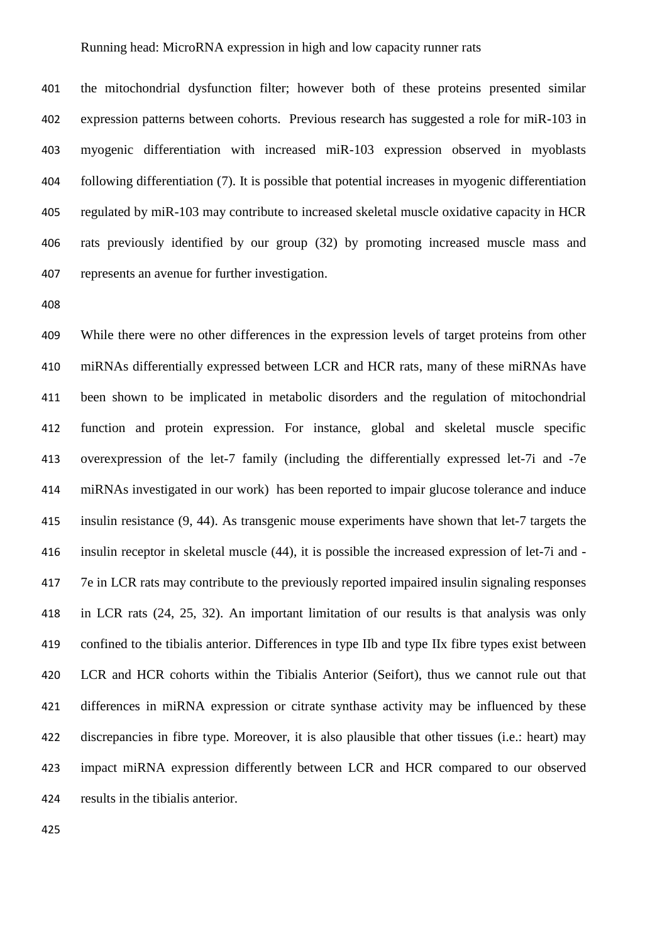the mitochondrial dysfunction filter; however both of these proteins presented similar expression patterns between cohorts. Previous research has suggested a role for miR-103 in myogenic differentiation with increased miR-103 expression observed in myoblasts following differentiation (7). It is possible that potential increases in myogenic differentiation regulated by miR-103 may contribute to increased skeletal muscle oxidative capacity in HCR rats previously identified by our group (32) by promoting increased muscle mass and represents an avenue for further investigation.

 While there were no other differences in the expression levels of target proteins from other miRNAs differentially expressed between LCR and HCR rats, many of these miRNAs have been shown to be implicated in metabolic disorders and the regulation of mitochondrial function and protein expression. For instance, global and skeletal muscle specific overexpression of the let-7 family (including the differentially expressed let-7i and -7e miRNAs investigated in our work) has been reported to impair glucose tolerance and induce insulin resistance (9, 44). As transgenic mouse experiments have shown that let-7 targets the insulin receptor in skeletal muscle (44), it is possible the increased expression of let-7i and - 7e in LCR rats may contribute to the previously reported impaired insulin signaling responses in LCR rats (24, 25, 32). An important limitation of our results is that analysis was only confined to the tibialis anterior. Differences in type IIb and type IIx fibre types exist between LCR and HCR cohorts within the Tibialis Anterior (Seifort), thus we cannot rule out that differences in miRNA expression or citrate synthase activity may be influenced by these discrepancies in fibre type. Moreover, it is also plausible that other tissues (i.e.: heart) may impact miRNA expression differently between LCR and HCR compared to our observed results in the tibialis anterior.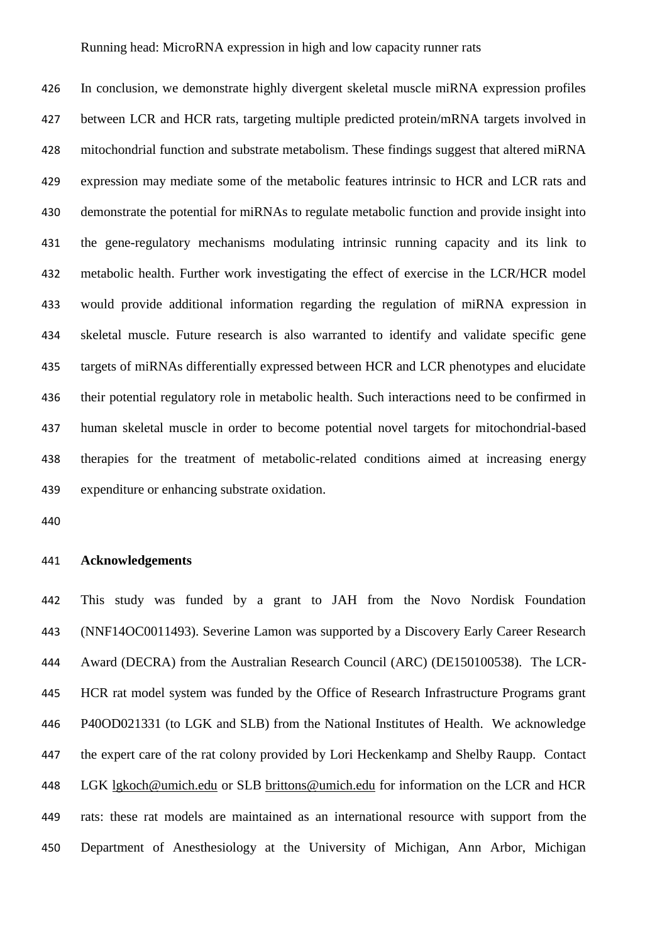In conclusion, we demonstrate highly divergent skeletal muscle miRNA expression profiles between LCR and HCR rats, targeting multiple predicted protein/mRNA targets involved in mitochondrial function and substrate metabolism. These findings suggest that altered miRNA expression may mediate some of the metabolic features intrinsic to HCR and LCR rats and demonstrate the potential for miRNAs to regulate metabolic function and provide insight into the gene-regulatory mechanisms modulating intrinsic running capacity and its link to metabolic health. Further work investigating the effect of exercise in the LCR/HCR model would provide additional information regarding the regulation of miRNA expression in skeletal muscle. Future research is also warranted to identify and validate specific gene targets of miRNAs differentially expressed between HCR and LCR phenotypes and elucidate their potential regulatory role in metabolic health. Such interactions need to be confirmed in human skeletal muscle in order to become potential novel targets for mitochondrial-based therapies for the treatment of metabolic-related conditions aimed at increasing energy expenditure or enhancing substrate oxidation.

#### **Acknowledgements**

 This study was funded by a grant to JAH from the Novo Nordisk Foundation (NNF14OC0011493). Severine Lamon was supported by a Discovery Early Career Research Award (DECRA) from the Australian Research Council (ARC) (DE150100538). The LCR- HCR rat model system was funded by the Office of Research Infrastructure Programs grant P40OD021331 (to LGK and SLB) from the National Institutes of Health. We acknowledge the expert care of the rat colony provided by Lori Heckenkamp and Shelby Raupp. Contact LGK [lgkoch@umich.edu](mailto:lgkoch@umich.edu) or SLB [brittons@umich.edu](mailto:brittons@umich.edu) for information on the LCR and HCR rats: these rat models are maintained as an international resource with support from the Department of Anesthesiology at the University of Michigan, Ann Arbor, Michigan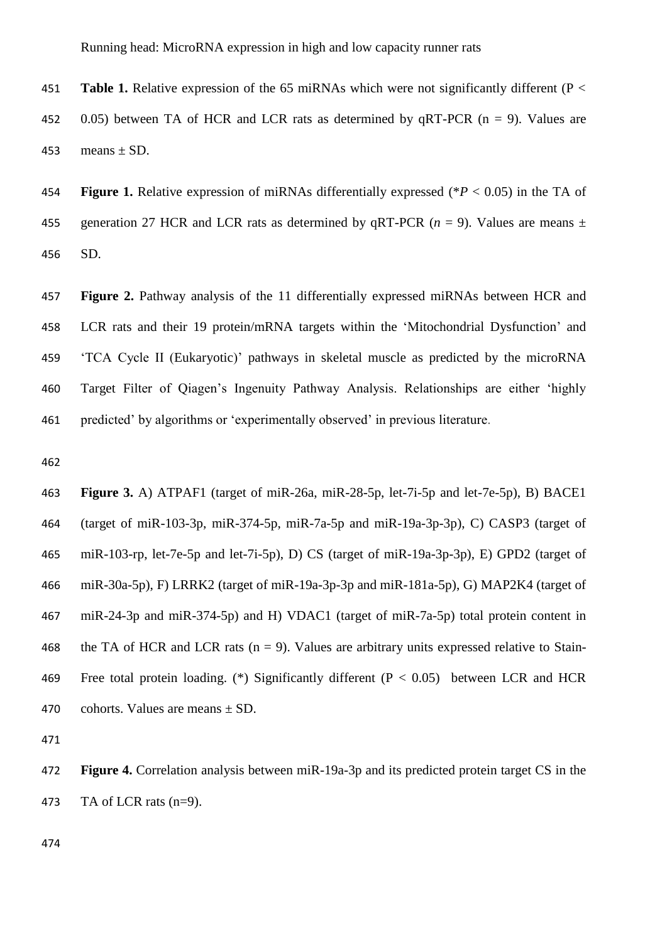**Table 1.** Relative expression of the 65 miRNAs which were not significantly different (P < 452 0.05) between TA of HCR and LCR rats as determined by  $aRT-PCR$  ( $n = 9$ ). Values are 453 means  $\pm$  SD.

 **Figure 1.** Relative expression of miRNAs differentially expressed (\**P* < 0.05) in the TA of 455 generation 27 HCR and LCR rats as determined by qRT-PCR  $(n = 9)$ . Values are means  $\pm$ SD.

 **Figure 2.** Pathway analysis of the 11 differentially expressed miRNAs between HCR and LCR rats and their 19 protein/mRNA targets within the 'Mitochondrial Dysfunction' and 'TCA Cycle II (Eukaryotic)' pathways in skeletal muscle as predicted by the microRNA Target Filter of Qiagen's Ingenuity Pathway Analysis. Relationships are either 'highly predicted' by algorithms or 'experimentally observed' in previous literature.

 **Figure 3.** A) ATPAF1 (target of miR-26a, miR-28-5p, let-7i-5p and let-7e-5p), B) BACE1 (target of miR-103-3p, miR-374-5p, miR-7a-5p and miR-19a-3p-3p), C) CASP3 (target of miR-103-rp, let-7e-5p and let-7i-5p), D) CS (target of miR-19a-3p-3p), E) GPD2 (target of miR-30a-5p), F) LRRK2 (target of miR-19a-3p-3p and miR-181a-5p), G) MAP2K4 (target of miR-24-3p and miR-374-5p) and H) VDAC1 (target of miR-7a-5p) total protein content in 468 the TA of HCR and LCR rats ( $n = 9$ ). Values are arbitrary units expressed relative to Stain-469 Free total protein loading. (\*) Significantly different  $(P < 0.05)$  between LCR and HCR 470 cohorts. Values are means  $\pm$  SD.

 **Figure 4.** Correlation analysis between miR-19a-3p and its predicted protein target CS in the TA of LCR rats (n=9).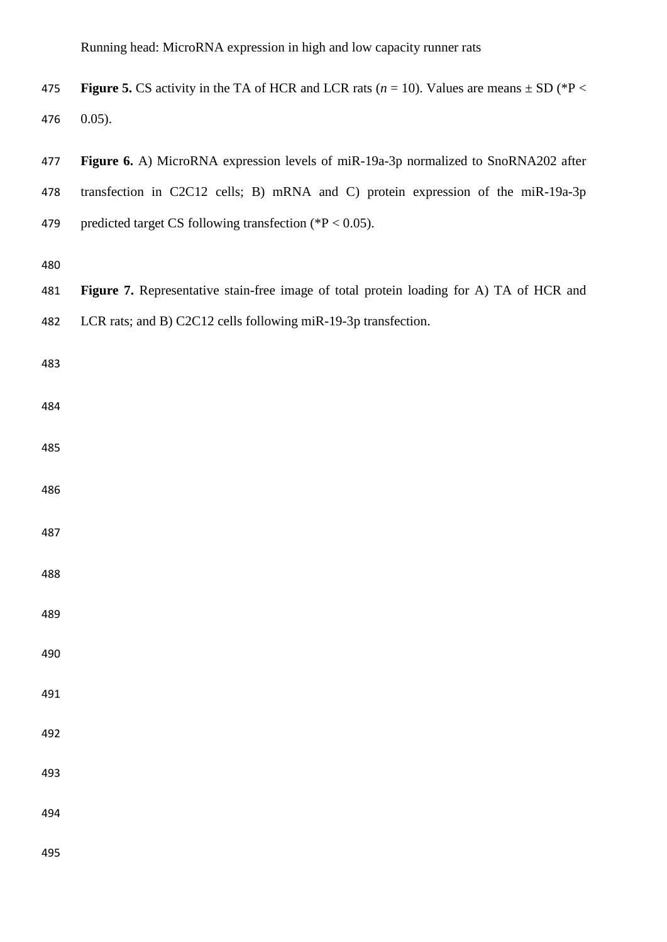| 475 | <b>Figure 5.</b> CS activity in the TA of HCR and LCR rats ( $n = 10$ ). Values are means $\pm$ SD ( ${}^*P$ < |
|-----|----------------------------------------------------------------------------------------------------------------|
|     | 476 0.05).                                                                                                     |

 **Figure 6.** A) MicroRNA expression levels of miR-19a-3p normalized to SnoRNA202 after transfection in C2C12 cells; B) mRNA and C) protein expression of the miR-19a-3p predicted target CS following transfection (\*P < 0.05).

 **Figure 7.** Representative stain-free image of total protein loading for A) TA of HCR and LCR rats; and B) C2C12 cells following miR-19-3p transfection.

- 
- 
- 
- 
- 
- 
- 
- 
- 
- 
- 
- 
- 
- 
- 
-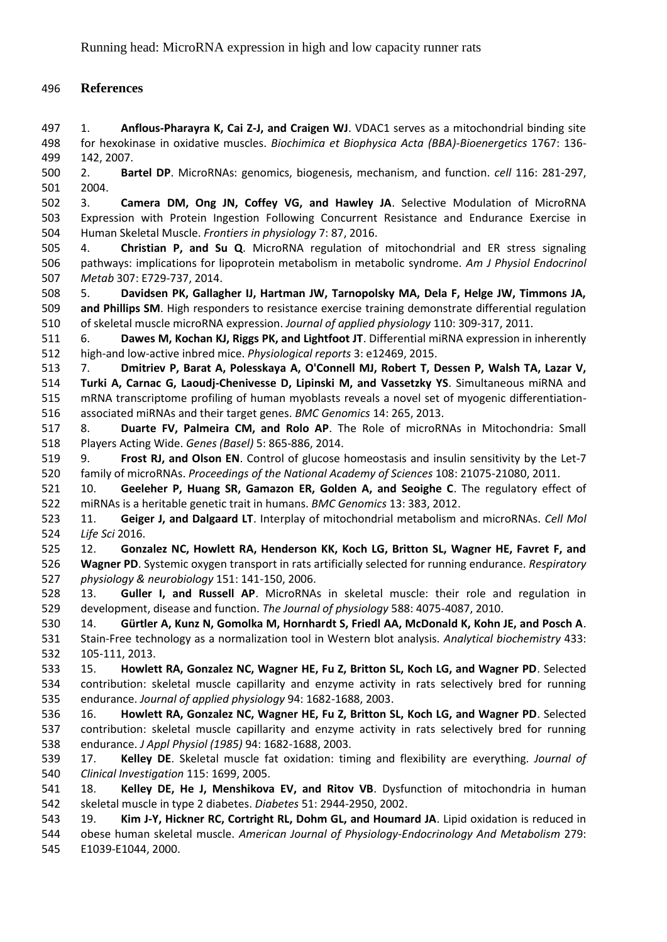# **References**

 1. **Anflous-Pharayra K, Cai Z-J, and Craigen WJ**. VDAC1 serves as a mitochondrial binding site for hexokinase in oxidative muscles. *Biochimica et Biophysica Acta (BBA)-Bioenergetics* 1767: 136- 142, 2007.

 2. **Bartel DP**. MicroRNAs: genomics, biogenesis, mechanism, and function. *cell* 116: 281-297, 2004.

 3. **Camera DM, Ong JN, Coffey VG, and Hawley JA**. Selective Modulation of MicroRNA Expression with Protein Ingestion Following Concurrent Resistance and Endurance Exercise in Human Skeletal Muscle. *Frontiers in physiology* 7: 87, 2016.

 4. **Christian P, and Su Q**. MicroRNA regulation of mitochondrial and ER stress signaling pathways: implications for lipoprotein metabolism in metabolic syndrome. *Am J Physiol Endocrinol Metab* 307: E729-737, 2014.

 5. **Davidsen PK, Gallagher IJ, Hartman JW, Tarnopolsky MA, Dela F, Helge JW, Timmons JA, and Phillips SM**. High responders to resistance exercise training demonstrate differential regulation of skeletal muscle microRNA expression. *Journal of applied physiology* 110: 309-317, 2011.

 6. **Dawes M, Kochan KJ, Riggs PK, and Lightfoot JT**. Differential miRNA expression in inherently high‐and low‐active inbred mice. *Physiological reports* 3: e12469, 2015.

 7. **Dmitriev P, Barat A, Polesskaya A, O'Connell MJ, Robert T, Dessen P, Walsh TA, Lazar V, Turki A, Carnac G, Laoudj-Chenivesse D, Lipinski M, and Vassetzky YS**. Simultaneous miRNA and mRNA transcriptome profiling of human myoblasts reveals a novel set of myogenic differentiation-associated miRNAs and their target genes. *BMC Genomics* 14: 265, 2013.

 8. **Duarte FV, Palmeira CM, and Rolo AP**. The Role of microRNAs in Mitochondria: Small Players Acting Wide. *Genes (Basel)* 5: 865-886, 2014.

 9. **Frost RJ, and Olson EN**. Control of glucose homeostasis and insulin sensitivity by the Let-7 family of microRNAs. *Proceedings of the National Academy of Sciences* 108: 21075-21080, 2011.

 10. **Geeleher P, Huang SR, Gamazon ER, Golden A, and Seoighe C**. The regulatory effect of miRNAs is a heritable genetic trait in humans. *BMC Genomics* 13: 383, 2012.

 11. **Geiger J, and Dalgaard LT**. Interplay of mitochondrial metabolism and microRNAs. *Cell Mol Life Sci* 2016.

 12. **Gonzalez NC, Howlett RA, Henderson KK, Koch LG, Britton SL, Wagner HE, Favret F, and Wagner PD**. Systemic oxygen transport in rats artificially selected for running endurance. *Respiratory physiology & neurobiology* 151: 141-150, 2006.

 13. **Guller I, and Russell AP**. MicroRNAs in skeletal muscle: their role and regulation in development, disease and function. *The Journal of physiology* 588: 4075-4087, 2010.

 14. **Gürtler A, Kunz N, Gomolka M, Hornhardt S, Friedl AA, McDonald K, Kohn JE, and Posch A**. Stain-Free technology as a normalization tool in Western blot analysis. *Analytical biochemistry* 433: 105-111, 2013.

 15. **Howlett RA, Gonzalez NC, Wagner HE, Fu Z, Britton SL, Koch LG, and Wagner PD**. Selected contribution: skeletal muscle capillarity and enzyme activity in rats selectively bred for running endurance. *Journal of applied physiology* 94: 1682-1688, 2003.

 16. **Howlett RA, Gonzalez NC, Wagner HE, Fu Z, Britton SL, Koch LG, and Wagner PD**. Selected contribution: skeletal muscle capillarity and enzyme activity in rats selectively bred for running endurance. *J Appl Physiol (1985)* 94: 1682-1688, 2003.

 17. **Kelley DE**. Skeletal muscle fat oxidation: timing and flexibility are everything. *Journal of Clinical Investigation* 115: 1699, 2005.

 18. **Kelley DE, He J, Menshikova EV, and Ritov VB**. Dysfunction of mitochondria in human skeletal muscle in type 2 diabetes. *Diabetes* 51: 2944-2950, 2002.

 19. **Kim J-Y, Hickner RC, Cortright RL, Dohm GL, and Houmard JA**. Lipid oxidation is reduced in obese human skeletal muscle. *American Journal of Physiology-Endocrinology And Metabolism* 279:

E1039-E1044, 2000.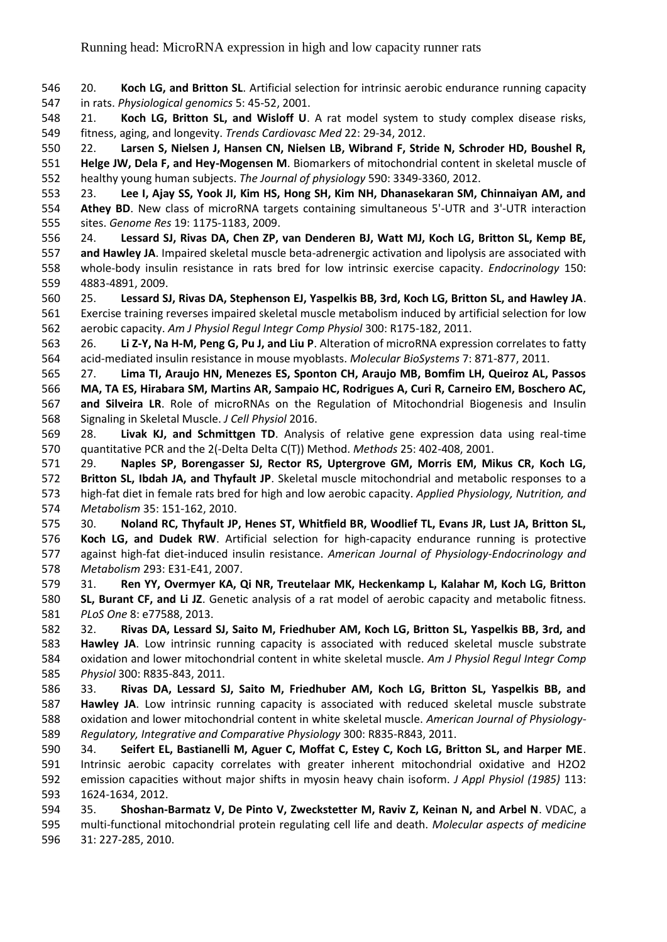20. **Koch LG, and Britton SL**. Artificial selection for intrinsic aerobic endurance running capacity in rats. *Physiological genomics* 5: 45-52, 2001.

 21. **Koch LG, Britton SL, and Wisloff U**. A rat model system to study complex disease risks, fitness, aging, and longevity. *Trends Cardiovasc Med* 22: 29-34, 2012.

 22. **Larsen S, Nielsen J, Hansen CN, Nielsen LB, Wibrand F, Stride N, Schroder HD, Boushel R, Helge JW, Dela F, and Hey-Mogensen M**. Biomarkers of mitochondrial content in skeletal muscle of healthy young human subjects. *The Journal of physiology* 590: 3349-3360, 2012.

 23. **Lee I, Ajay SS, Yook JI, Kim HS, Hong SH, Kim NH, Dhanasekaran SM, Chinnaiyan AM, and Athey BD**. New class of microRNA targets containing simultaneous 5'-UTR and 3'-UTR interaction sites. *Genome Res* 19: 1175-1183, 2009.

 24. **Lessard SJ, Rivas DA, Chen ZP, van Denderen BJ, Watt MJ, Koch LG, Britton SL, Kemp BE, and Hawley JA**. Impaired skeletal muscle beta-adrenergic activation and lipolysis are associated with whole-body insulin resistance in rats bred for low intrinsic exercise capacity. *Endocrinology* 150: 4883-4891, 2009.

 25. **Lessard SJ, Rivas DA, Stephenson EJ, Yaspelkis BB, 3rd, Koch LG, Britton SL, and Hawley JA**. Exercise training reverses impaired skeletal muscle metabolism induced by artificial selection for low aerobic capacity. *Am J Physiol Regul Integr Comp Physiol* 300: R175-182, 2011.

 26. **Li Z-Y, Na H-M, Peng G, Pu J, and Liu P**. Alteration of microRNA expression correlates to fatty acid-mediated insulin resistance in mouse myoblasts. *Molecular BioSystems* 7: 871-877, 2011.

 27. **Lima TI, Araujo HN, Menezes ES, Sponton CH, Araujo MB, Bomfim LH, Queiroz AL, Passos MA, TA ES, Hirabara SM, Martins AR, Sampaio HC, Rodrigues A, Curi R, Carneiro EM, Boschero AC, and Silveira LR**. Role of microRNAs on the Regulation of Mitochondrial Biogenesis and Insulin Signaling in Skeletal Muscle. *J Cell Physiol* 2016.

 28. **Livak KJ, and Schmittgen TD**. Analysis of relative gene expression data using real-time quantitative PCR and the 2(-Delta Delta C(T)) Method. *Methods* 25: 402-408, 2001.

 29. **Naples SP, Borengasser SJ, Rector RS, Uptergrove GM, Morris EM, Mikus CR, Koch LG, Britton SL, Ibdah JA, and Thyfault JP**. Skeletal muscle mitochondrial and metabolic responses to a high-fat diet in female rats bred for high and low aerobic capacity. *Applied Physiology, Nutrition, and Metabolism* 35: 151-162, 2010.

 30. **Noland RC, Thyfault JP, Henes ST, Whitfield BR, Woodlief TL, Evans JR, Lust JA, Britton SL, Koch LG, and Dudek RW**. Artificial selection for high-capacity endurance running is protective against high-fat diet-induced insulin resistance. *American Journal of Physiology-Endocrinology and Metabolism* 293: E31-E41, 2007.

 31. **Ren YY, Overmyer KA, Qi NR, Treutelaar MK, Heckenkamp L, Kalahar M, Koch LG, Britton SL, Burant CF, and Li JZ**. Genetic analysis of a rat model of aerobic capacity and metabolic fitness. *PLoS One* 8: e77588, 2013.

 32. **Rivas DA, Lessard SJ, Saito M, Friedhuber AM, Koch LG, Britton SL, Yaspelkis BB, 3rd, and Hawley JA**. Low intrinsic running capacity is associated with reduced skeletal muscle substrate oxidation and lower mitochondrial content in white skeletal muscle. *Am J Physiol Regul Integr Comp Physiol* 300: R835-843, 2011.

 33. **Rivas DA, Lessard SJ, Saito M, Friedhuber AM, Koch LG, Britton SL, Yaspelkis BB, and Hawley JA**. Low intrinsic running capacity is associated with reduced skeletal muscle substrate oxidation and lower mitochondrial content in white skeletal muscle. *American Journal of Physiology-Regulatory, Integrative and Comparative Physiology* 300: R835-R843, 2011.

 34. **Seifert EL, Bastianelli M, Aguer C, Moffat C, Estey C, Koch LG, Britton SL, and Harper ME**. Intrinsic aerobic capacity correlates with greater inherent mitochondrial oxidative and H2O2 emission capacities without major shifts in myosin heavy chain isoform. *J Appl Physiol (1985)* 113: 1624-1634, 2012.

 35. **Shoshan-Barmatz V, De Pinto V, Zweckstetter M, Raviv Z, Keinan N, and Arbel N**. VDAC, a multi-functional mitochondrial protein regulating cell life and death. *Molecular aspects of medicine*  31: 227-285, 2010.